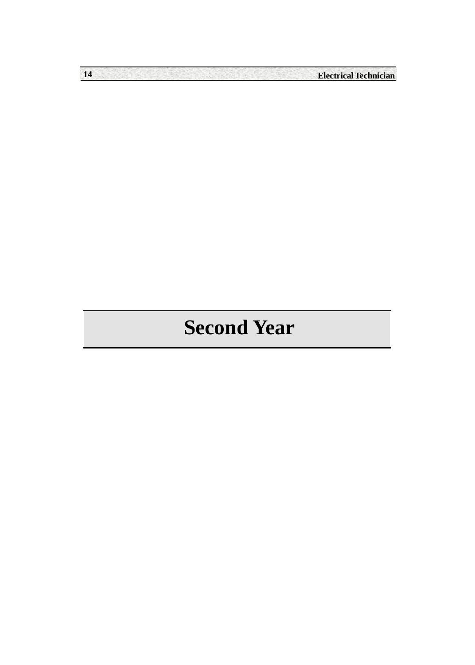**14 Electrical Technician**

# **Second Year**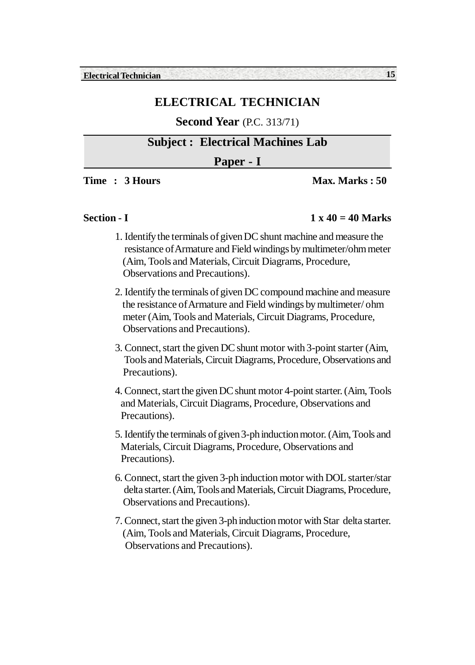### **Second Year** (P.C. 313/71)

# **Subject : Electrical Machines Lab**

#### **Paper - I**

**Time : 3 Hours Max. Marks : 50** 

#### **Section - I** 1 x 40 = 40 Marks

- 1. Identify the terminals of given DC shunt machine and measure the resistance of Armature and Field windings by multimeter/ohm meter (Aim, Tools and Materials, Circuit Diagrams, Procedure, Observations and Precautions).
- 2. Identify the terminals of given DC compound machine and measure the resistance of Armature and Field windings by multimeter/ ohm meter (Aim, Tools and Materials, Circuit Diagrams, Procedure, Observations and Precautions).
- 3. Connect, start the given DC shunt motor with 3-point starter (Aim, Tools and Materials, Circuit Diagrams, Procedure, Observations and Precautions).
- 4. Connect, start the given DC shunt motor 4-point starter. (Aim, Tools and Materials, Circuit Diagrams, Procedure, Observations and Precautions).
- 5. Identify the terminals of given 3-ph induction motor. (Aim, Tools and Materials, Circuit Diagrams, Procedure, Observations and Precautions).
- 6. Connect, start the given 3-ph induction motor with DOL starter/star delta starter. (Aim, Tools and Materials, Circuit Diagrams, Procedure, Observations and Precautions).
- 7. Connect, start the given 3-ph induction motor with Star delta starter. (Aim, Tools and Materials, Circuit Diagrams, Procedure, Observations and Precautions).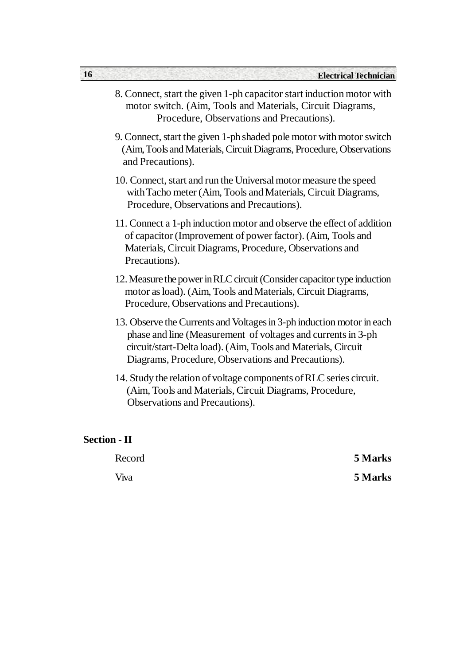| 8. Connect, start the given 1-ph capacitor start induction motor with |
|-----------------------------------------------------------------------|
| motor switch. (Aim, Tools and Materials, Circuit Diagrams,            |
| Procedure, Observations and Precautions).                             |

- 9. Connect, start the given 1-ph shaded pole motor with motor switch (Aim, Tools and Materials, Circuit Diagrams, Procedure, Observations and Precautions).
- 10. Connect, start and run the Universal motor measure the speed with Tacho meter (Aim, Tools and Materials, Circuit Diagrams, Procedure, Observations and Precautions).
- 11. Connect a 1-ph induction motor and observe the effect of addition of capacitor (Improvement of power factor). (Aim, Tools and Materials, Circuit Diagrams, Procedure, Observations and Precautions).
- 12. Measure the power in RLC circuit (Consider capacitor type induction motor as load). (Aim, Tools and Materials, Circuit Diagrams, Procedure, Observations and Precautions).
- 13. Observe the Currents and Voltages in 3-ph induction motor in each phase and line (Measurement of voltages and currents in 3-ph circuit/start-Delta load). (Aim, Tools and Materials, Circuit Diagrams, Procedure, Observations and Precautions).
- 14. Study the relation of voltage components of RLC series circuit. (Aim, Tools and Materials, Circuit Diagrams, Procedure, Observations and Precautions).

#### **Section - II**

Record **5 Marks** Viva **5 Marks**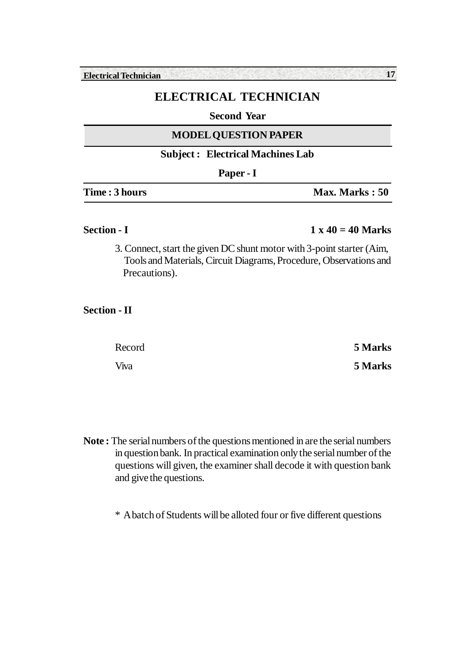**Electrical Technician 17**

# **ELECTRICAL TECHNICIAN**

#### **Second Year**

#### **MODEL QUESTION PAPER**

#### **Subject : Electrical Machines Lab**

| г<br>., |  |
|---------|--|
|---------|--|

| <b>Time : 3 hours</b> | Max. Marks: 50 |
|-----------------------|----------------|
|-----------------------|----------------|

#### **Section - I** 1 x 40 = 40 Marks

3. Connect, start the given DC shunt motor with 3-point starter (Aim, Tools and Materials, Circuit Diagrams, Procedure, Observations and Precautions).

### **Section - II**

| Record | 5 Marks |
|--------|---------|
| Viva   | 5 Marks |

**Note :** The serial numbers of the questions mentioned in are the serial numbers in question bank. In practical examination only the serial number of the questions will given, the examiner shall decode it with question bank and give the questions.

\* A batch of Students will be alloted four or five different questions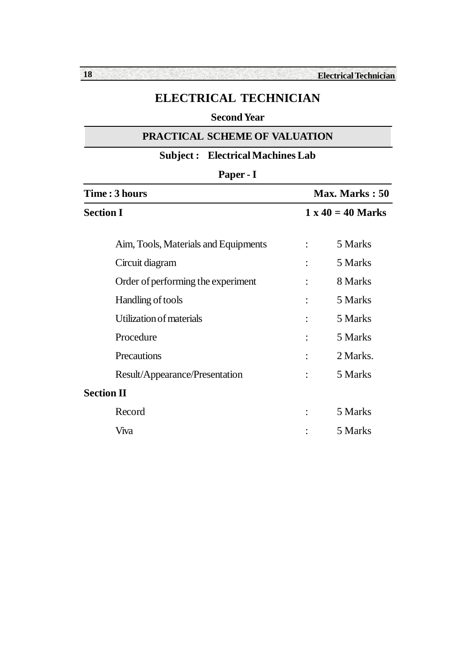### **Second Year**

#### **PRACTICAL SCHEME OF VALUATION**

# **Subject : Electrical Machines Lab**

| r<br>Π |  |
|--------|--|
|--------|--|

| <b>Time : 3 hours</b>                | Max. Marks: 50           |          |  |
|--------------------------------------|--------------------------|----------|--|
| <b>Section I</b>                     | $1 \times 40 = 40$ Marks |          |  |
| Aim, Tools, Materials and Equipments |                          | 5 Marks  |  |
| Circuit diagram                      |                          | 5 Marks  |  |
| Order of performing the experiment   | $\ddot{\cdot}$           | 8 Marks  |  |
| Handling of tools                    |                          | 5 Marks  |  |
| Utilization of materials             |                          | 5 Marks  |  |
| Procedure                            |                          | 5 Marks  |  |
| Precautions                          |                          | 2 Marks. |  |
| Result/Appearance/Presentation       |                          | 5 Marks  |  |
| <b>Section II</b>                    |                          |          |  |
| Record                               |                          | 5 Marks  |  |
| Viva                                 |                          | 5 Marks  |  |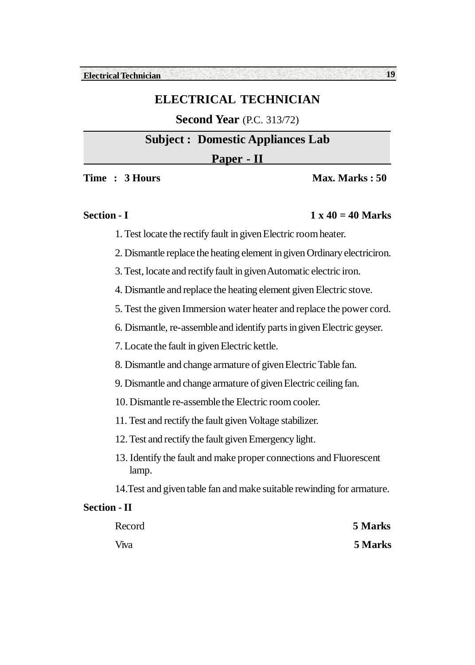# **Second Year** (P.C. 313/72)

### **Subject : Domestic Appliances Lab**

#### **Paper - II**

**Time : 3 Hours Max. Marks : 50** 

# **Section - I** 1 x 40 = 40 Marks

- 1. Test locate the rectify fault in given Electric room heater.
- 2. Dismantle replace the heating element in given Ordinary electriciron.
- 3. Test, locate and rectify fault in given Automatic electric iron.
- 4. Dismantle and replace the heating element given Electric stove.
- 5. Test the given Immersion water heater and replace the power cord.
- 6. Dismantle, re-assemble and identify parts in given Electric geyser.
- 7. Locate the fault in given Electric kettle.
- 8. Dismantle and change armature of given Electric Table fan.
- 9. Dismantle and change armature of given Electric ceiling fan.
- 10. Dismantle re-assemble the Electric room cooler.
- 11. Test and rectify the fault given Voltage stabilizer.
- 12. Test and rectify the fault given Emergency light.
- 13. Identify the fault and make proper connections and Fluorescent lamp.
- 14.Test and given table fan and make suitable rewinding for armature.

#### **Section - II**

| Record | 5 Marks |
|--------|---------|
| Viva   | 5 Marks |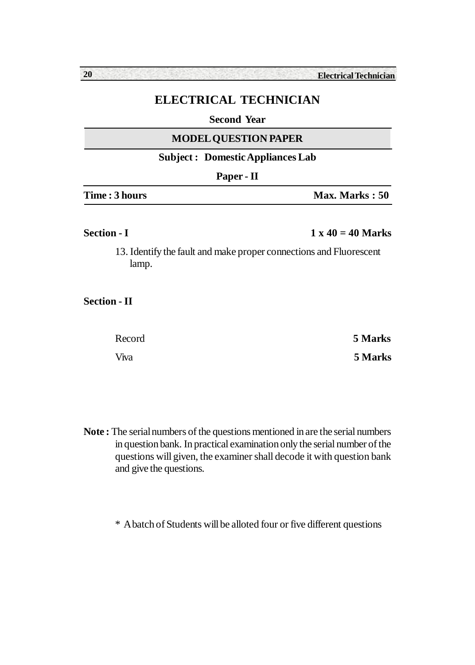#### **Second Year**

#### **MODEL QUESTION PAPER**

### **Subject : Domestic Appliances Lab**

| YΡ<br>n<br>÷ |  |
|--------------|--|
|--------------|--|

| <b>Time : 3 hours</b> | Max. Marks: 50 |
|-----------------------|----------------|
|                       |                |

#### **Section - I** 1 x 40 = 40 Marks

13. Identify the fault and make proper connections and Fluorescent lamp.

#### **Section - II**

| Record | 5 Marks |
|--------|---------|
| Viva   | 5 Marks |

**Note :** The serial numbers of the questions mentioned in are the serial numbers in question bank. In practical examination only the serial number of the questions will given, the examiner shall decode it with question bank and give the questions.

\* A batch of Students will be alloted four or five different questions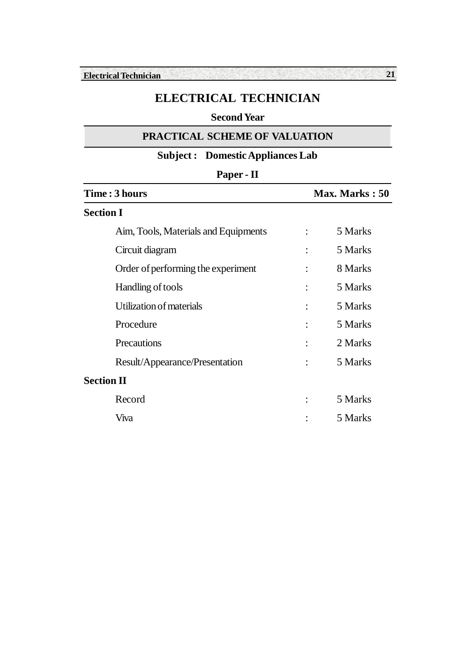# **Second Year**

#### **PRACTICAL SCHEME OF VALUATION**

# **Subject : Domestic Appliances Lab**

| Paper - II                           |                |         |  |
|--------------------------------------|----------------|---------|--|
| Time : 3 hours                       | Max. Marks: 50 |         |  |
| <b>Section I</b>                     |                |         |  |
| Aim, Tools, Materials and Equipments |                | 5 Marks |  |
| Circuit diagram                      |                | 5 Marks |  |
| Order of performing the experiment   | $\ddot{\cdot}$ | 8 Marks |  |
| Handling of tools                    |                | 5 Marks |  |
| Utilization of materials             |                | 5 Marks |  |
| Procedure                            |                | 5 Marks |  |
| Precautions                          |                | 2 Marks |  |
| Result/Appearance/Presentation       |                | 5 Marks |  |
| <b>Section II</b>                    |                |         |  |
| Record                               |                | 5 Marks |  |
| Viva                                 |                | 5 Marks |  |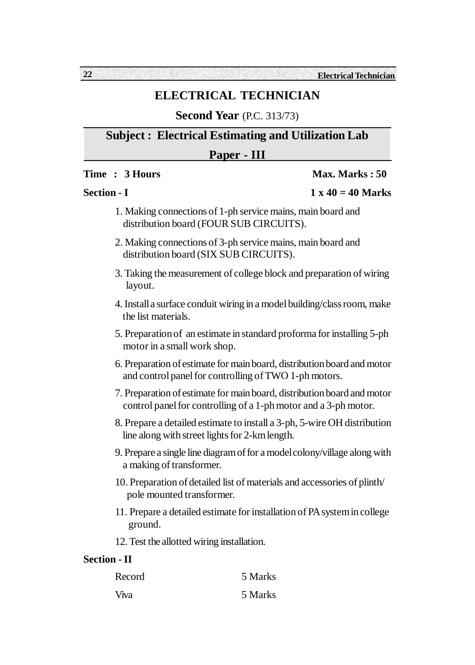**Second Year** (P.C. 313/73)

**Subject : Electrical Estimating and Utilization Lab**

### **Paper - III**

#### **Time : 3 Hours Max. Marks : 50**

**Section - I** 1 x 40 = 40 Marks

|                                               | $1.41 \text{ T}$ |  |
|-----------------------------------------------|------------------|--|
|                                               |                  |  |
| ections of 1-ph service mains, main board and |                  |  |

- 1. Making conne distribution board (FOUR SUB CIRCUITS).
- 2. Making connections of 3-ph service mains, main board and distribution board (SIX SUB CIRCUITS).
- 3. Taking the measurement of college block and preparation of wiring layout.
- 4. Install a surface conduit wiring in a model building/class room, make the list materials.
- 5. Preparation of an estimate in standard proforma for installing 5-ph motor in a small work shop.
- 6. Preparation of estimate for main board, distribution board and motor and control panel for controlling of TWO 1-ph motors.
- 7. Preparation of estimate for main board, distribution board and motor control panel for controlling of a 1-ph motor and a 3-ph motor.
- 8. Prepare a detailed estimate to install a 3-ph, 5-wire OH distribution line along with street lights for 2-km length.
- 9. Prepare a single line diagram of for a model colony/village along with a making of transformer.
- 10. Preparation of detailed list of materials and accessories of plinth/ pole mounted transformer.
- 11. Prepare a detailed estimate for installation of PA system in college ground.
- 12. Test the allotted wiring installation.

#### **Section - II**

| Record       | 5 Marks |
|--------------|---------|
| <b>V</b> iva | 5 Marks |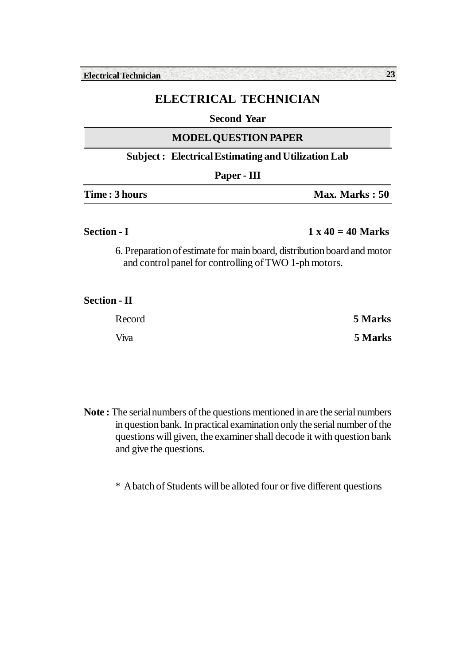#### **Second Year**

#### **MODEL QUESTION PAPER**

#### **Subject : Electrical Estimating and Utilization Lab**

|               | Paper - III |                |
|---------------|-------------|----------------|
| Time: 3 hours |             | Max. Marks: 50 |

#### **Section - I** 1 x 40 = 40 Marks

6. Preparation of estimate for main board, distribution board and motor and control panel for controlling of TWO 1-ph motors.

#### **Section - II**

| Record | 5 Marks |
|--------|---------|
| Viva   | 5 Marks |

**Note :** The serial numbers of the questions mentioned in are the serial numbers in question bank. In practical examination only the serial number of the questions will given, the examiner shall decode it with question bank and give the questions.

\* A batch of Students will be alloted four or five different questions